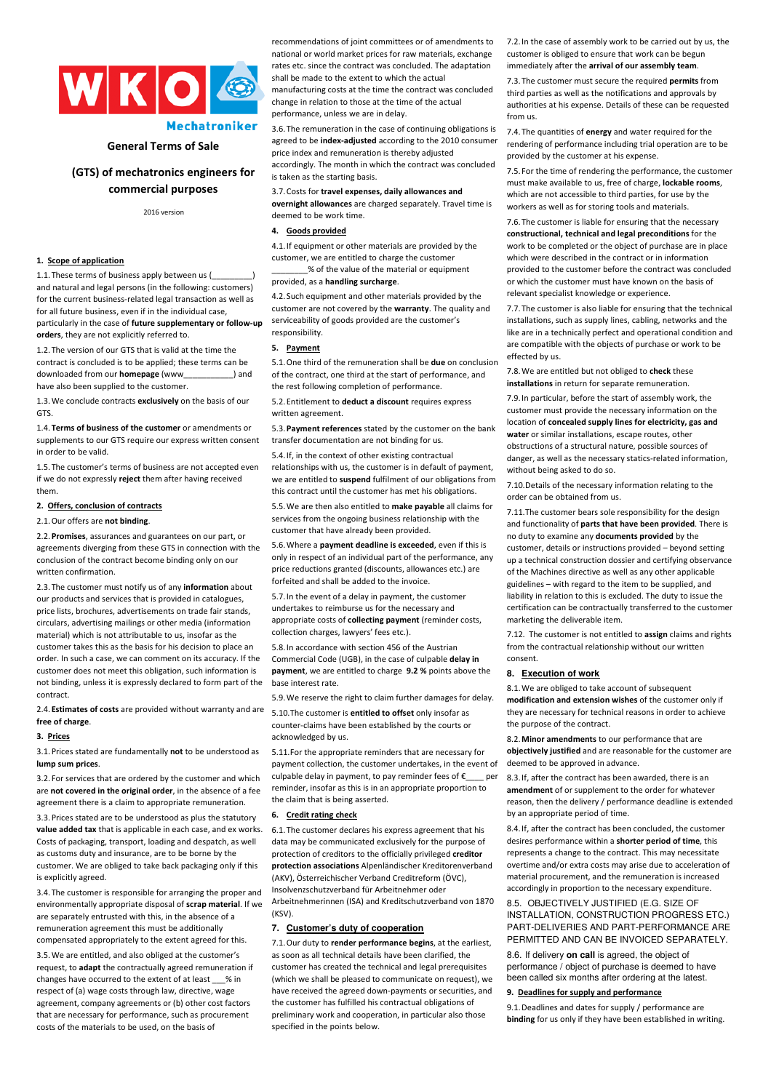

# **Mechatroniker**

# **General Terms of Sale**

# **(GTS) of mechatronics engineers for commercial purposes**

2016 version

# **1. Scope of application**

1.1. These terms of business apply between us ( and natural and legal persons (in the following: customers) for the current business-related legal transaction as well as for all future business, even if in the individual case particularly in the case of **future supplementary or follow-up orders**, they are not explicitly referred to.

1.2. The version of our GTS that is valid at the time the contract is concluded is to be applied; these terms can be downloaded from our **homepage** (www\_\_\_\_\_\_\_\_\_\_\_) and have also been supplied to the customer.

1.3.We conclude contracts **exclusively** on the basis of our GTS.

1.4. **Terms of business of the customer** or amendments or supplements to our GTS require our express written consent in order to be valid.

1.5. The customer's terms of business are not accepted even if we do not expressly **reject** them after having received them.

# **2. Offers, conclusion of contracts**

#### 2.1.Our offers are **not binding**.

2.2.**Promises**, assurances and guarantees on our part, or agreements diverging from these GTS in connection with the conclusion of the contract become binding only on our written confirmation.

2.3. The customer must notify us of any **information** about our products and services that is provided in catalogues, price lists, brochures, advertisements on trade fair stands, circulars, advertising mailings or other media (information material) which is not attributable to us, insofar as the customer takes this as the basis for his decision to place an order. In such a case, we can comment on its accuracy. If the customer does not meet this obligation, such information is not binding, unless it is expressly declared to form part of the contract.

2.4. **Estimates of costs** are provided without warranty and are **free of charge**.

#### **3. Prices**

3.1.Prices stated are fundamentally **not** to be understood as **lump sum prices**.

3.2. For services that are ordered by the customer and which are **not covered in the original order**, in the absence of a fee agreement there is a claim to appropriate remuneration.

3.3.Prices stated are to be understood as plus the statutory **value added tax** that is applicable in each case, and ex works. Costs of packaging, transport, loading and despatch, as well as customs duty and insurance, are to be borne by the customer. We are obliged to take back packaging only if this is explicitly agreed.

3.4. The customer is responsible for arranging the proper and environmentally appropriate disposal of **scrap material**. If we are separately entrusted with this, in the absence of a remuneration agreement this must be additionally compensated appropriately to the extent agreed for this.

3.5.We are entitled, and also obliged at the customer's request, to **adapt** the contractually agreed remuneration if changes have occurred to the extent of at least \_\_\_% in respect of (a) wage costs through law, directive, wage agreement, company agreements or (b) other cost factors that are necessary for performance, such as procurement costs of the materials to be used, on the basis of

recommendations of joint committees or of amendments to national or world market prices for raw materials, exchange rates etc. since the contract was concluded. The adaptation shall be made to the extent to which the actual

manufacturing costs at the time the contract was concluded change in relation to those at the time of the actual performance, unless we are in delay.

3.6. The remuneration in the case of continuing obligations is agreed to be **index-adjusted** according to the 2010 consumer price index and remuneration is thereby adjusted accordingly. The month in which the contract was concluded

is taken as the starting basis.

3.7.Costs for **travel expenses, daily allowances and overnight allowances** are charged separately. Travel time is deemed to be work time.

# **4. Goods provided**

4.1. If equipment or other materials are provided by the customer, we are entitled to charge the customer

### \_\_\_\_\_\_\_\_% of the value of the material or equipment provided, as a **handling surcharge**.

4.2. Such equipment and other materials provided by the customer are not covered by the **warranty**. The quality and serviceability of goods provided are the customer's responsibility.

#### **5. Payment**

5.1.One third of the remuneration shall be **due** on conclusion of the contract, one third at the start of performance, and the rest following completion of performance.

5.2. Entitlement to **deduct a discount** requires express written agreement.

5.3.**Payment references** stated by the customer on the bank transfer documentation are not binding for us.

5.4. If, in the context of other existing contractual relationships with us, the customer is in default of payment we are entitled to **suspend** fulfilment of our obligations from this contract until the customer has met his obligations.

5.5.We are then also entitled to **make payable** all claims for services from the ongoing business relationship with the customer that have already been provided.

5.6.Where a **payment deadline is exceeded**, even if this is only in respect of an individual part of the performance, any price reductions granted (discounts, allowances etc.) are forfeited and shall be added to the invoice.

5.7. In the event of a delay in payment, the customer undertakes to reimburse us for the necessary and appropriate costs of **collecting payment** (reminder costs, collection charges, lawyers' fees etc.).

5.8. In accordance with section 456 of the Austrian Commercial Code (UGB), in the case of culpable **delay in payment**, we are entitled to charge **9.2 %** points above the base interest rate.

5.9.We reserve the right to claim further damages for delay. 5.10.The customer is **entitled to offset** only insofar as counter-claims have been established by the courts or acknowledged by us.

5.11.For the appropriate reminders that are necessary for payment collection, the customer undertakes, in the event of culpable delay in payment, to pay reminder fees of  $\epsilon$ reminder, insofar as this is in an appropriate proportion to the claim that is being asserted.

#### **6. Credit rating check**

6.1. The customer declares his express agreement that his data may be communicated exclusively for the purpose of protection of creditors to the officially privileged **creditor protection associations** Alpenländischer Kreditorenverband (AKV), Österreichischer Verband Creditreform (ÖVC), Insolvenzschutzverband für Arbeitnehmer oder Arbeitnehmerinnen (ISA) and Kreditschutzverband von 1870 (KSV).

# **7. Customer's duty of cooperation**

7.1.Our duty to **render performance begins**, at the earliest, as soon as all technical details have been clarified, the customer has created the technical and legal prerequisites (which we shall be pleased to communicate on request), we have received the agreed down-payments or securities, and the customer has fulfilled his contractual obligations of preliminary work and cooperation, in particular also those specified in the points below.

7.2. In the case of assembly work to be carried out by us, the customer is obliged to ensure that work can be begun immediately after the **arrival of our assembly team**.

7.3. The customer must secure the required **permits** from third parties as well as the notifications and approvals by authorities at his expense. Details of these can be requested from us.

7.4. The quantities of **energy** and water required for the rendering of performance including trial operation are to be provided by the customer at his expense.

7.5. For the time of rendering the performance, the customer must make available to us, free of charge, **lockable rooms**, which are not accessible to third parties, for use by the workers as well as for storing tools and materials.

7.6. The customer is liable for ensuring that the necessary **constructional, technical and legal preconditions** for the work to be completed or the object of purchase are in place which were described in the contract or in information provided to the customer before the contract was concluded or which the customer must have known on the basis of relevant specialist knowledge or experience.

7.7. The customer is also liable for ensuring that the technical installations, such as supply lines, cabling, networks and the like are in a technically perfect and operational condition and are compatible with the objects of purchase or work to be effected by us.

7.8.We are entitled but not obliged to **check** these **installations** in return for separate remuneration.

7.9. In particular, before the start of assembly work, the customer must provide the necessary information on the location of **concealed supply lines for electricity, gas and water** or similar installations, escape routes, other obstructions of a structural nature, possible sources of danger, as well as the necessary statics-related information, without being asked to do so.

7.10.Details of the necessary information relating to the order can be obtained from us.

7.11.The customer bears sole responsibility for the design and functionality of **parts that have been provided**. There is no duty to examine any **documents provided** by the customer, details or instructions provided – beyond setting up a technical construction dossier and certifying observance of the Machines directive as well as any other applicable guidelines – with regard to the item to be supplied, and liability in relation to this is excluded. The duty to issue the certification can be contractually transferred to the customer marketing the deliverable item.

7.12. The customer is not entitled to **assign** claims and rights from the contractual relationship without our written consent.

### **8. Execution of work**

8.1.We are obliged to take account of subsequent **modification and extension wishes** of the customer only if they are necessary for technical reasons in order to achieve the purpose of the contract.

8.2.**Minor amendments** to our performance that are **objectively justified** and are reasonable for the customer are deemed to be approved in advance.

8.3. If, after the contract has been awarded, there is an **amendment** of or supplement to the order for whatever reason, then the delivery / performance deadline is extended by an appropriate period of time.

8.4. If, after the contract has been concluded, the customer desires performance within a **shorter period of time**, this represents a change to the contract. This may necessitate overtime and/or extra costs may arise due to acceleration of material procurement, and the remuneration is increased accordingly in proportion to the necessary expenditure.

8.5. OBJECTIVELY JUSTIFIED (E.G. SIZE OF INSTALLATION, CONSTRUCTION PROGRESS ETC.) PART-DELIVERIES AND PART-PERFORMANCE ARE PERMITTED AND CAN BE INVOICED SEPARATELY.

8.6. If delivery **on call** is agreed, the object of performance / object of purchase is deemed to have been called six months after ordering at the latest.

#### **9. Deadlines for supply and performance**

9.1.Deadlines and dates for supply / performance are **binding** for us only if they have been established in writing.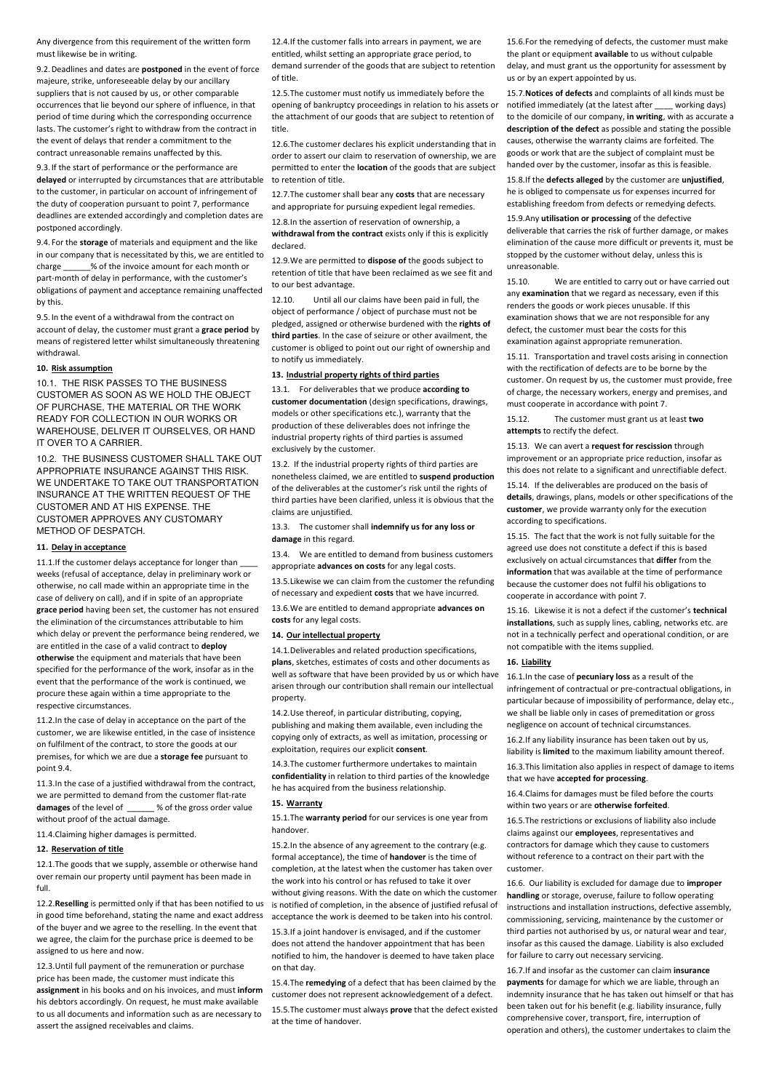Any divergence from this requirement of the written form must likewise be in writing.

9.2.Deadlines and dates are **postponed** in the event of force majeure, strike, unforeseeable delay by our ancillary suppliers that is not caused by us, or other comparable occurrences that lie beyond our sphere of influence, in that period of time during which the corresponding occurrence lasts. The customer's right to withdraw from the contract in the event of delays that render a commitment to the contract unreasonable remains unaffected by this.

9.3. If the start of performance or the performance are **delayed** or interrupted by circumstances that are attributable to the customer, in particular on account of infringement of the duty of cooperation pursuant to point 7, performance deadlines are extended accordingly and completion dates are postponed accordingly.

9.4. For the **storage** of materials and equipment and the like in our company that is necessitated by this, we are entitled to charge \_\_\_\_\_\_% of the invoice amount for each month or part-month of delay in performance, with the customer's obligations of payment and acceptance remaining unaffected by this.

9.5. In the event of a withdrawal from the contract on account of delay, the customer must grant a **grace period** by means of registered letter whilst simultaneously threatening withdrawal.

# **10. Risk assumption**

10.1. THE RISK PASSES TO THE BUSINESS CUSTOMER AS SOON AS WE HOLD THE OBJECT OF PURCHASE, THE MATERIAL OR THE WORK READY FOR COLLECTION IN OUR WORKS OR WAREHOUSE, DELIVER IT OURSELVES, OR HAND IT OVER TO A CARRIER.

10.2. THE BUSINESS CUSTOMER SHALL TAKE OUT APPROPRIATE INSURANCE AGAINST THIS RISK. WE UNDERTAKE TO TAKE OUT TRANSPORTATION INSURANCE AT THE WRITTEN REQUEST OF THE CUSTOMER AND AT HIS EXPENSE. THE CUSTOMER APPROVES ANY CUSTOMARY METHOD OF DESPATCH.

### **11. Delay in acceptance**

11.1.If the customer delays acceptance for longer than weeks (refusal of acceptance, delay in preliminary work or otherwise, no call made within an appropriate time in the case of delivery on call), and if in spite of an appropriate **grace period** having been set, the customer has not ensured the elimination of the circumstances attributable to him which delay or prevent the performance being rendered, we are entitled in the case of a valid contract to **deploy otherwise** the equipment and materials that have been specified for the performance of the work, insofar as in the event that the performance of the work is continued, we procure these again within a time appropriate to the respective circumstances.

11.2.In the case of delay in acceptance on the part of the customer, we are likewise entitled, in the case of insistence on fulfilment of the contract, to store the goods at our premises, for which we are due a **storage fee** pursuant to point 9.4.

11.3.In the case of a justified withdrawal from the contract, we are permitted to demand from the customer flat-rate **damages** of the level of \_\_\_\_\_\_ % of the gross order value without proof of the actual damage.

11.4.Claiming higher damages is permitted.

#### **12. Reservation of title**

12.1.The goods that we supply, assemble or otherwise hand over remain our property until payment has been made in full.

12.2.**Reselling** is permitted only if that has been notified to us in good time beforehand, stating the name and exact address of the buyer and we agree to the reselling. In the event that we agree, the claim for the purchase price is deemed to be assigned to us here and now.

12.3.Until full payment of the remuneration or purchase price has been made, the customer must indicate this **assignment** in his books and on his invoices, and must **inform**  his debtors accordingly. On request, he must make available to us all documents and information such as are necessary to assert the assigned receivables and claims.

12.4. If the customer falls into arrears in nayment, we are entitled, whilst setting an appropriate grace period, to demand surrender of the goods that are subject to retention of title.

12.5.The customer must notify us immediately before the opening of bankruptcy proceedings in relation to his assets or notified immediately (at the latest after \_\_\_\_ working days) the attachment of our goods that are subject to retention of title.

12.6.The customer declares his explicit understanding that in order to assert our claim to reservation of ownership, we are permitted to enter the **location** of the goods that are subject to retention of title.

12.7.The customer shall bear any **costs** that are necessary and appropriate for pursuing expedient legal remedies.

12.8.In the assertion of reservation of ownership, a

**withdrawal from the contract** exists only if this is explicitly declared.

12.9.We are permitted to **dispose of** the goods subject to retention of title that have been reclaimed as we see fit and to our best advantage.

12.10. Until all our claims have been paid in full, the object of performance / object of purchase must not be pledged, assigned or otherwise burdened with the **rights of third parties**. In the case of seizure or other availment, the customer is obliged to point out our right of ownership and to notify us immediately.

# **13. Industrial property rights of third parties**

13.1. For deliverables that we produce **according to customer documentation** (design specifications, drawings, models or other specifications etc.), warranty that the production of these deliverables does not infringe the industrial property rights of third parties is assumed exclusively by the customer.

13.2. If the industrial property rights of third parties are nonetheless claimed, we are entitled to **suspend production** of the deliverables at the customer's risk until the rights of third parties have been clarified, unless it is obvious that the claims are unjustified.

13.3. The customer shall **indemnify us for any loss or damage** in this regard.

13.4. We are entitled to demand from business customers appropriate **advances on costs** for any legal costs.

13.5.Likewise we can claim from the customer the refunding of necessary and expedient **costs** that we have incurred.

13.6.We are entitled to demand appropriate **advances on costs** for any legal costs.

# **14. Our intellectual property**

14.1.Deliverables and related production specifications, **plans**, sketches, estimates of costs and other documents as well as software that have been provided by us or which have arisen through our contribution shall remain our intellectual property.

14.2.Use thereof, in particular distributing, copying, publishing and making them available, even including the copying only of extracts, as well as imitation, processing or exploitation, requires our explicit **consent**.

14.3.The customer furthermore undertakes to maintain **confidentiality** in relation to third parties of the knowledge he has acquired from the business relationship.

# **15. Warranty**

15.1.The **warranty period** for our services is one year from handover.

15.2.In the absence of any agreement to the contrary (e.g. formal acceptance), the time of **handover** is the time of completion, at the latest when the customer has taken over the work into his control or has refused to take it over without giving reasons. With the date on which the customer is notified of completion, in the absence of justified refusal of acceptance the work is deemed to be taken into his control. 15.3.If a joint handover is envisaged, and if the customer

does not attend the handover appointment that has been notified to him, the handover is deemed to have taken place on that day.

15.4.The **remedying** of a defect that has been claimed by the customer does not represent acknowledgement of a defect.

15.5.The customer must always **prove** that the defect existed at the time of handover.

15.6.For the remedying of defects, the customer must make the plant or equipment **available** to us without culpable delay, and must grant us the opportunity for assessment by us or by an expert appointed by us.

15.7.**Notices of defects** and complaints of all kinds must be to the domicile of our company, **in writing**, with as accurate a **description of the defect** as possible and stating the possible causes, otherwise the warranty claims are forfeited. The goods or work that are the subject of complaint must be handed over by the customer, insofar as this is feasible.

15.8.If the **defects alleged** by the customer are **unjustified**, he is obliged to compensate us for expenses incurred for establishing freedom from defects or remedying defects.

### 15.9.Any **utilisation or processing** of the defective

deliverable that carries the risk of further damage, or makes elimination of the cause more difficult or prevents it, must be stopped by the customer without delay, unless this is unreasonable.

15.10. We are entitled to carry out or have carried out any **examination** that we regard as necessary, even if this renders the goods or work pieces unusable. If this examination shows that we are not responsible for any defect, the customer must bear the costs for this examination against appropriate remuneration.

15.11. Transportation and travel costs arising in connection with the rectification of defects are to be borne by the customer. On request by us, the customer must provide, free of charge, the necessary workers, energy and premises, and must cooperate in accordance with point 7.

15.12. The customer must grant us at least **two attempts** to rectify the defect.

15.13. We can avert a **request for rescission** through improvement or an appropriate price reduction, insofar as this does not relate to a significant and unrectifiable defect.

15.14. If the deliverables are produced on the basis of **details**, drawings, plans, models or other specifications of the **customer**, we provide warranty only for the execution according to specifications.

15.15. The fact that the work is not fully suitable for the agreed use does not constitute a defect if this is based exclusively on actual circumstances that **differ** from the **information** that was available at the time of performance because the customer does not fulfil his obligations to cooperate in accordance with point 7.

15.16. Likewise it is not a defect if the customer's **technical installations**, such as supply lines, cabling, networks etc. are not in a technically perfect and operational condition, or are not compatible with the items supplied.

# **16. Liability**

16.1.In the case of **pecuniary loss** as a result of the infringement of contractual or pre-contractual obligations, in particular because of impossibility of performance, delay etc., we shall be liable only in cases of premeditation or gross negligence on account of technical circumstances.

16.2.If any liability insurance has been taken out by us, liability is **limited** to the maximum liability amount thereof.

16.3.This limitation also applies in respect of damage to items that we have **accepted for processing**.

16.4.Claims for damages must be filed before the courts within two years or are **otherwise forfeited**.

16.5.The restrictions or exclusions of liability also include claims against our **employees**, representatives and contractors for damage which they cause to customers without reference to a contract on their part with the customer.

16.6. Our liability is excluded for damage due to **improper handling** or storage, overuse, failure to follow operating instructions and installation instructions, defective assembly, commissioning, servicing, maintenance by the customer or third parties not authorised by us, or natural wear and tear, insofar as this caused the damage. Liability is also excluded for failure to carry out necessary servicing.

16.7.If and insofar as the customer can claim **insurance payments** for damage for which we are liable, through an indemnity insurance that he has taken out himself or that has been taken out for his benefit (e.g. liability insurance, fully comprehensive cover, transport, fire, interruption of operation and others), the customer undertakes to claim the